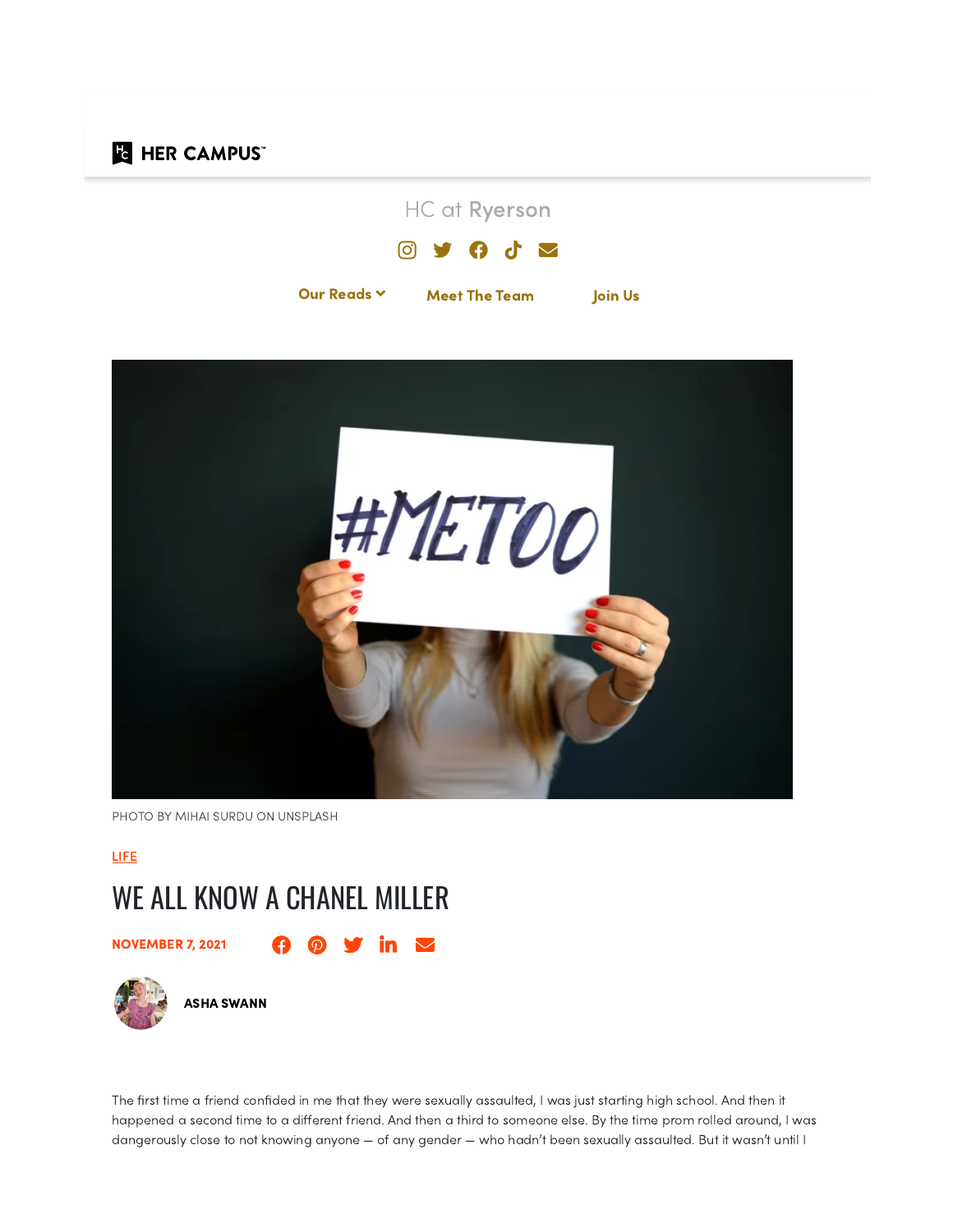# **Fe HER CAMPUS**





PHOTO BY MIHAI SURDU ON [UNSPLASH](https://unsplash.com/photos/DeI2BMIMDFA)

[LIFE](https://www.hercampus.com/life/)

# WE ALL KNOW A CHANEL MILLER

**NOVEMBER 7, 2021 10 0 10 10** 



The first time a friend confided in me that they were sexually assaulted, I was just starting high school. And then it happened a second time to a different friend. And then a third to someone else. By the time prom rolled around, I was dangerously close to not knowing anyone — of any gender — who hadn't been sexually assaulted. But it wasn't until I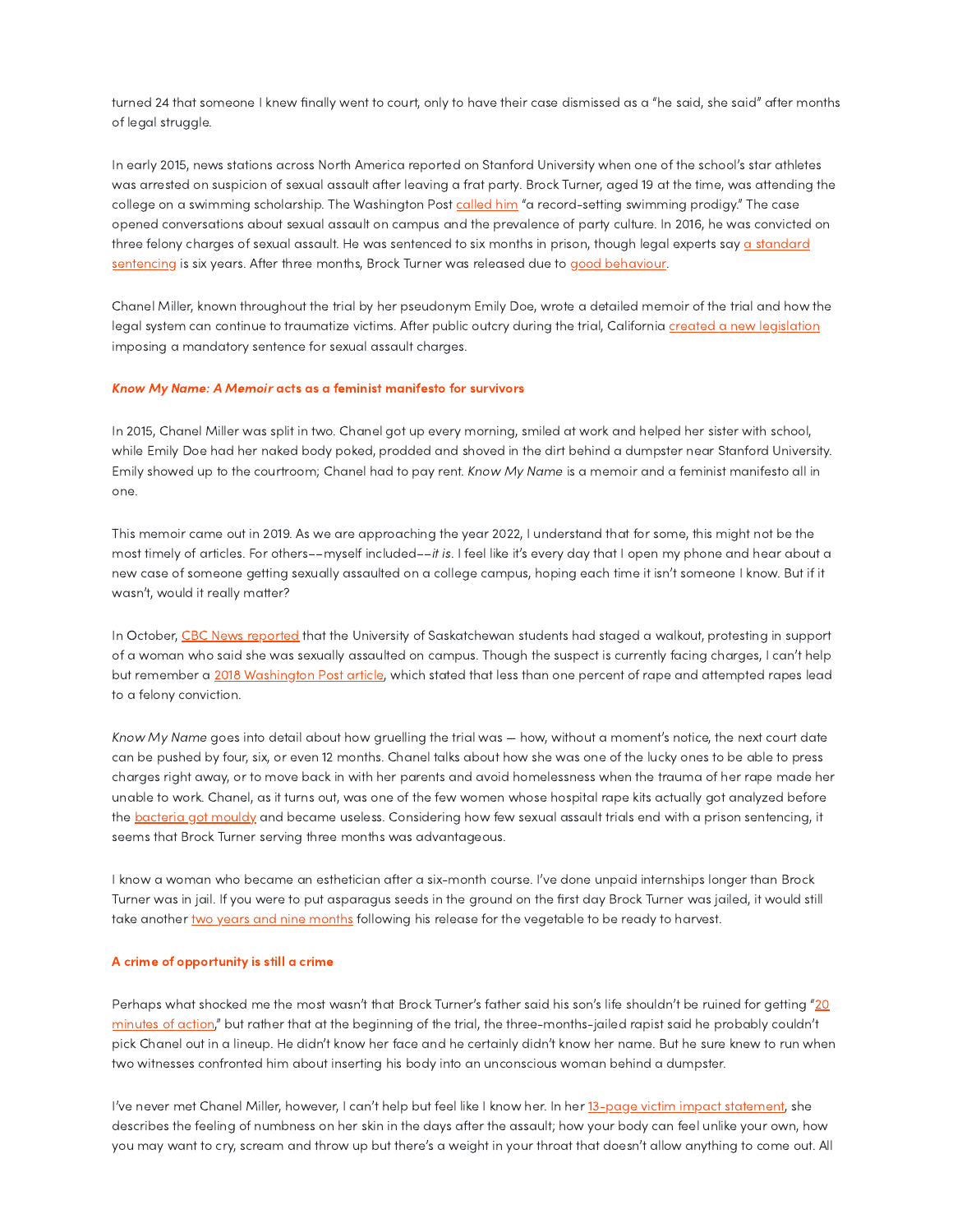turned 24 that someone I knew finally went to court, only to have their case dismissed as a "he said, she said" after months of legal struggle.

In early 2015, news stations across North America reported on Stanford University when one of the school's star athletes was arrested on suspicion of sexual assault after leaving a frat party. Brock Turner, aged 19 at the time, was attending the college on a swimming scholarship. The Washington Post [called](https://web.archive.org/web/20210125054720/https://www.washingtonpost.com/news/morning-mix/wp/2016/03/31/all-american-swimmer-found-guilty-of-sexually-assaulting-unconscious-woman-on-stanford-campus/) him "a record-setting swimming prodigy." The case opened conversations about sexual assault on campus and the prevalence of party culture. In 2016, he was convicted on three [felony charges](https://web.archive.org/web/20210308160540/https://www.latimes.com/local/lanow/la-me-ln-judge-stanford-rape-20160607-snap-story.html) of sexual assault. He was sentenced to six months in prison, though legal experts say a standard sentencing is six years. After three months, Brock Turner was released due to good [behaviour](https://www.rollingstone.com/culture/culture-news/brock-turner-to-be-free-after-three-months-for-good-behavior-252040/).

Chanel Miller, known throughout the trial by her pseudonym Emily Doe, wrote a detailed memoir of the trial and how the legal system can continue to traumatize victims. After public outcry during the trial, California created a new [legislation](https://www.nytimes.com/2016/10/01/us/sentencing-law-california-stanford-case.html) imposing a mandatory sentence for sexual assault charges.

## Know My Name: A Memoir acts as a feminist manifesto for survivors

In 2015, Chanel Miller was split in two. Chanel got up every morning, smiled at work and helped her sister with school, while Emily Doe had her naked body poked, prodded and shoved in the dirt behind a dumpster near Stanford University. Emily showed up to the courtroom; Chanel had to pay rent. Know My Name is a memoir and a feminist manifesto all in one.

This memoir came out in 2019. As we are approaching the year 2022, I understand that for some, this might not be the most timely of articles. For others––myself included––it is. I feel like it's every day that I open my phone and hear about a new case of someone getting sexually assaulted on a college campus, hoping each time it isn't someone I know. But if it wasn't, would it really matter?

In October, CBC News [reported](https://www.cbc.ca/news/canada/saskatchewan/usask-rally-against-sexual-violence-1.6205966) that the University of Saskatchewan students had staged a walkout, protesting in support of a woman who said she was sexually assaulted on campus. Though the suspect is currently facing charges, I can't help but remember a 2018 [Washington](https://www.washingtonpost.com/business/2018/10/06/less-than-percent-rapes-lead-felony-convictions-least-percent-victims-face-emotional-physical-consequences/) Post article, which stated that less than one percent of rape and attempted rapes lead to a felony conviction.

Know My Name goes into detail about how gruelling the trial was — how, without a moment's notice, the next court date can be pushed by four, six, or even 12 months. Chanel talks about how she was one of the lucky ones to be able to press charges right away, or to move back in with her parents and avoid homelessness when the trauma of her rape made her unable to work. Chanel, as it turns out, was one of the few women whose hospital rape kits actually got analyzed before the [bacteria](https://www.statesman.com/news/20170707/officials-expert-wasnt-alarmed-by-rape-kits-in-boxes-with-mold) got mouldy and became useless. Considering how few sexual assault trials end with a prison sentencing, it seems that Brock Turner serving three months was advantageous.

I know a woman who became an esthetician after a six-month course. I've done unpaid internships longer than Brock Turner was in jail. If you were to put asparagus seeds in the ground on the first day Brock Turner was jailed, it would still take another two years and nine [months](https://www.hgtv.com/outdoors/flowers-and-plants/vegetables/how-long-does-asparagus-take-grow) following his release for the vegetable to be ready to harvest.

#### A crime of opportunity is still a crime

Perhaps what shocked me the most wasn't that Brock Turner's father said his son's life shouldn't be ruined for getting "20 minutes of action," but rather that at the beginning of the trial, the [three-months-jailed](https://globalnews.ca/news/2743580/20-minutes-of-action-stanford-rapist-brock-turners-dad-defends-son/) rapist said he probably couldn't pick Chanel out in a lineup. He didn't know her face and he certainly didn't know her name. But he sure knew to run when two witnesses confronted him about inserting his body into an unconscious woman behind a dumpster.

I've never met Chanel Miller, however, I can't help but feel like I know her. In her 13-page victim impact [statement](https://www.sccgov.org/sites/da/newsroom/newsreleases/Documents/B-Turner%20VIS.pdf), she describes the feeling of numbness on her skin in the days after the assault; how your body can feel unlike your own, how you may want to cry, scream and throw up but there's a weight in your throat that doesn't allow anything to come out. All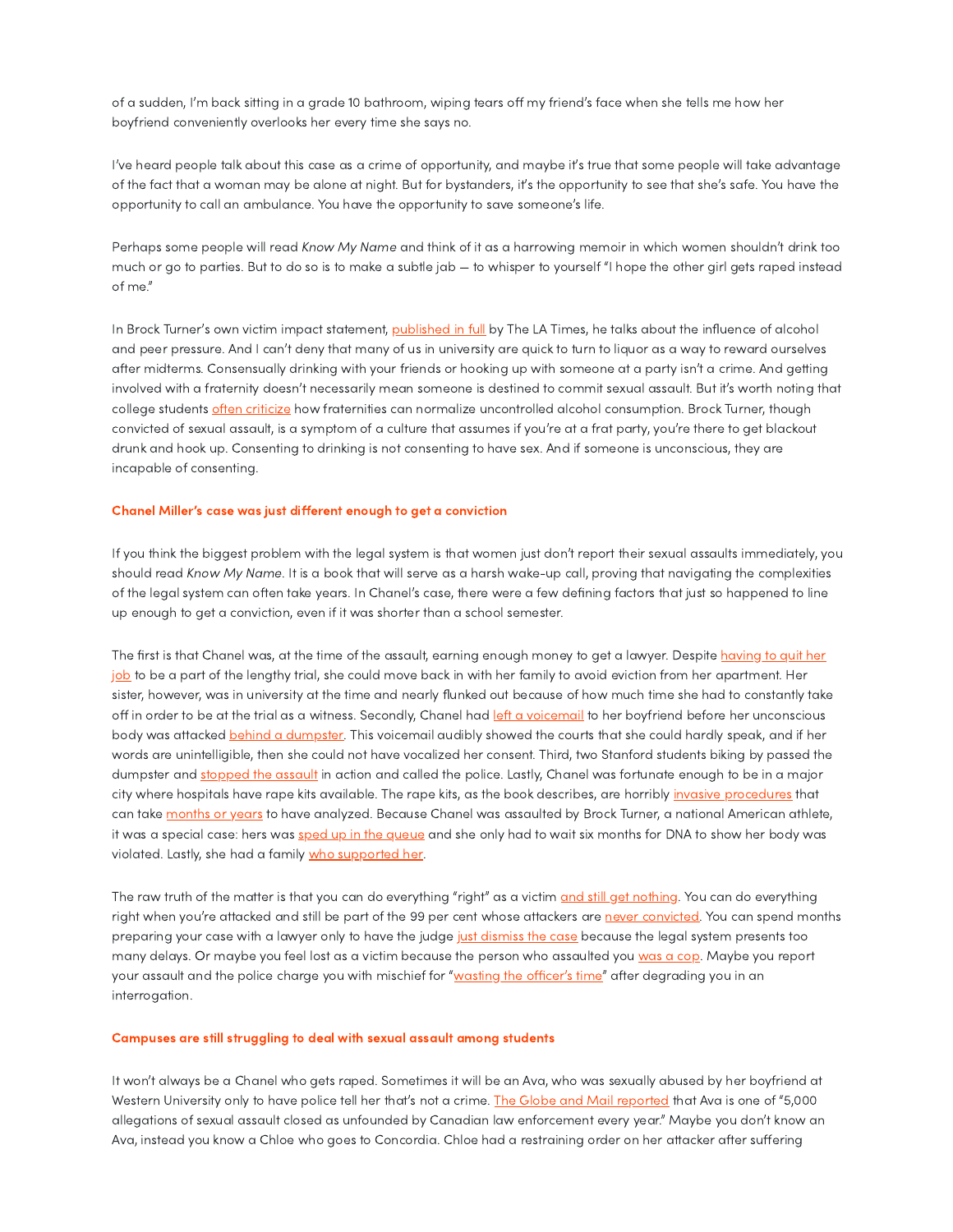of a sudden, I'm back sitting in a grade 10 bathroom, wiping tears off my friend's face when she tells me how her boyfriend conveniently overlooks her every time she says no.

I've heard people talk about this case as a crime of opportunity, and maybe it's true that some people will take advantage of the fact that a woman may be alone at night. But for bystanders, it's the opportunity to see that she's safe. You have the opportunity to call an ambulance. You have the opportunity to save someone's life.

Perhaps some people will read Know My Name and think of it as a harrowing memoir in which women shouldn't drink too much or go to parties. But to do so is to make a subtle jab — to whisper to yourself "I hope the other girl gets raped instead of me."

In Brock Turner's own victim impact statement, [published](https://documents.latimes.com/people-v-brock-allen-turner-89/) in full by The LA Times, he talks about the influence of alcohol and peer pressure. And I can't deny that many of us in university are quick to turn to liquor as a way to reward ourselves after midterms. Consensually drinking with your friends or hooking up with someone at a party isn't a crime. And getting involved with a fraternity doesn't necessarily mean someone is destined to commit sexual assault. But it's worth noting that college students often [criticize](https://dailycollegian.com/2018/03/fraternity-culture-is-problematic/) how fraternities can normalize uncontrolled alcohol consumption. Brock Turner, though convicted of sexual assault, is a symptom of a culture that assumes if you're at a frat party, you're there to get blackout drunk and hook up. Consenting to drinking is not consenting to have sex. And if someone is unconscious, they are incapable of consenting.

### Chanel Miller's case was just different enough to get a conviction

If you think the biggest problem with the legal system is that women just don't report their sexual assaults immediately, you should read Know My Name. It is a book that will serve as a harsh wake-up call, proving that navigating the complexities of the legal system can often take years. In Chanel's case, there were a few defining factors that just so happened to line up enough to get a conviction, even if it was shorter than a school semester.

The first is that Chanel was, at the time of the assault, earning enough money to get a lawyer. Despite having to quit her job to be a part of the [lengthy trial,](https://abcnews.go.com/US/humiliated-chanel-miller-survivor-brock-turner-sex-assault/story?id=65821466) she could move back in with her family to avoid eviction from her apartment. Her sister, however, was in university at the time and nearly flunked out because of how much time she had to constantly take off in order to be at the trial as a witness. Secondly, Chanel had *left a [voicemail](https://www.paloaltoonline.com/news/2016/03/18/alleged-victim-testifies-in-brock-turner-trial)* to her boyfriend before her unconscious body was attacked behind a [dumpster](https://www.goodreads.com/work/quotes/73239835-know-my-name?page=3). This voicemail audibly showed the courts that she could hardly speak, and if her words are unintelligible, then she could not have vocalized her consent. Third, two Stanford students biking by passed the dumpster and [stopped](https://www.cbsnews.com/news/chanel-miller-meets-the-men-who-stopped-her-assault-60-minutes-2020-08-09/) the assault in action and called the police. Lastly, Chanel was fortunate enough to be in a major city where hospitals have rape kits available. The rape kits, as the book describes, are horribly invasive [procedures](https://www.endthebacklog.org/information-survivors-dna-and-rape-kit-evidence/what-rape-kit-and-rape-kit-exam) that can take [months](https://www.theatlantic.com/magazine/archive/2019/08/an-epidemic-of-disbelief/592807/) or years to have analyzed. Because Chanel was assaulted by Brock Turner, a national American athlete, it was a special case: hers was sped up in the [queue](https://www.shondaland.com/inspire/books/a29255443/chanel-miller-new-book/) and she only had to wait six months for DNA to show her body was violated. Lastly, she had a family who [supported](https://www.insider.com/chanel-miller-describes-telling-her-parents-about-brock-turner-assault-2019-9) her.

The raw truth of the matter is that you can do everything "right" as a victim and still get [nothing.](https://theconversation.com/you-shouldnt-have-to-be-perfect-to-qualify-as-a-rape-victim-26012) You can do everything right when you're attacked and still be part of the 99 per cent whose attackers are never [convicted.](https://www.myamericannurse.com/995-out-of-1000-rapes-are-unconvicted/) You can spend months preparing your case with a lawyer only to have the judge just [dismiss](https://www.cbc.ca/news/canada/nova-scotia/judge-dismisses-n-s-sexual-assault-case-due-to-lengthy-delay-1.5857260) the case because the legal system presents too many delays. Or maybe you feel lost as a victim because the person who assaulted you [was](https://globalnews.ca/news/8283989/siu-investigation-hamilton-police-sexual-assault/) a cop. Maybe you report your assault and the police charge you with mischief for "[wasting](https://globalnews.ca/news/6476346/kelowna-sexual-assault-survivor-mediation-talks/) the officer's time" after degrading you in an interrogation.

#### Campuses are still struggling to deal with sexual assault among students

It won't always be a Chanel who gets raped. Sometimes it will be an Ava, who was sexually abused by her boyfriend at Western University only to have police tell her that's not a crime. The Globe and Mail [reported](https://web.archive.org/web/20211022030946/https://www.theglobeandmail.com/news/investigations/unfounded-sexual-assault-canada-main/article33891309/) that Ava is one of "5,000 allegations of sexual assault closed as unfounded by Canadian law enforcement every year." Maybe you don't know an Ava, instead you know a Chloe who goes to Concordia. Chloe had a restraining order on her attacker after suffering